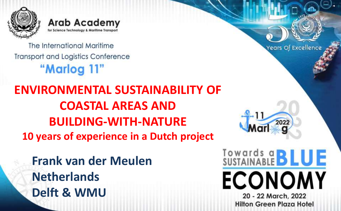

**Arab Academy** for Science Technology & Maritime Transport

The International Maritime **Transport and Logistics Conference** "Marlog 11"

**ENVIRONMENTAL SUSTAINABILITY OF COASTAL AREAS AND BUILDING-WITH-NATURE 10 years of experience in a Dutch project**

**Frank van der Meulen Netherlands Delft & WMU**

Years Of Excellence

202

Towards a **BLUE** 

**ECONOMY** 

20 - 22 March, 2022 **Hilton Green Plaza Hotel**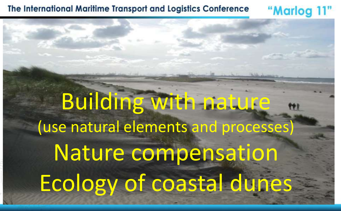Building with nature (use natural elements and processes) Nature compensation Ecology of coastal dunes

"Marlog 11"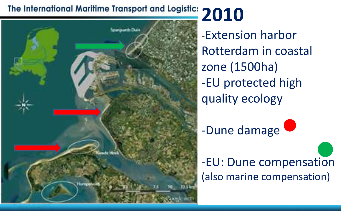# The International Maritime Transport and Logistic: 2010



-Extension harbor Rotterdam in coastal zone (1500ha) -EU protected high quality ecology



-EU: Dune compensation (also marine compensation)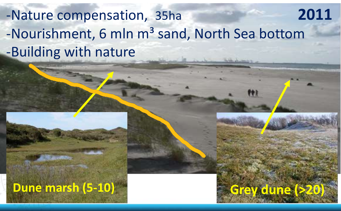# -Nature compensation, 35ha **2011** -Nourishment, 6 mln m<sup>3</sup> sand, North Sea bottom -Building with nature

**Dune marsh (5-10) Grey dune (>20)**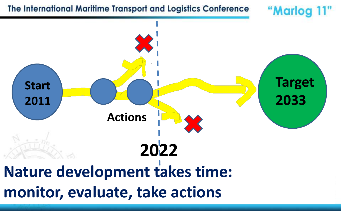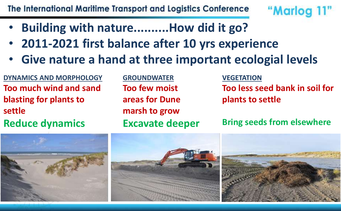- **Building with nature..........How did it go?**
- **2011-2021 first balance after 10 yrs experience**
- **Give nature a hand at three important ecologial levels**

**DYNAMICS AND MORPHOLOGY Too much wind and sand blasting for plants to settle**

**Reduce dynamics**

**GROUNDWATER Too few moist areas for Dune marsh to grow Excavate deeper** **VEGETATION Too less seed bank in soil for plants to settle**

"Marlog 11"

**Bring seeds from elsewhere**



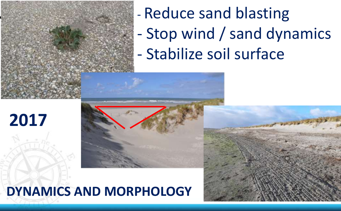

- Reduce sand blasting
- Stop wind / sand dynamics
- Stabilize soil surface



## **DYNAMICS AND MORPHOLOGY**

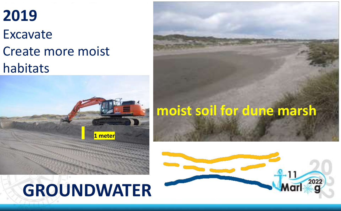## **2019** Excavate Create more moist habitats



# **GROUNDWATER**



**moist soil for dune marsh**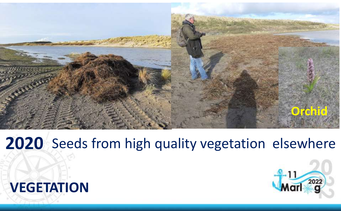

## **2020** Seeds from high quality vegetation elsewhere



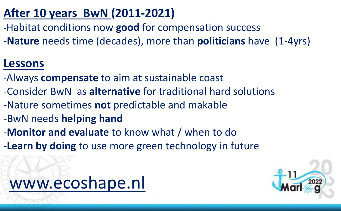### **After 10 years BwN (2011-2021)**

- -Habitat conditions now **good** for compensation success
- -**Nature** needs time (decades), more than **politicians** have (1-4yrs)

#### **Lessons**

- -Always **compensate** to aim at sustainable coast
- -Consider BwN as **alternative** for traditional hard solutions
- -Nature sometimes **not** predictable and makable
- -BwN needs **helping hand**
- -**Monitor and evaluate** to know what / when to do
- -**Learn by doing** to use more green technology in future



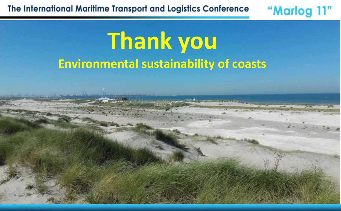# **Thank you Environmental sustainability of coasts**

"Marlog 11"